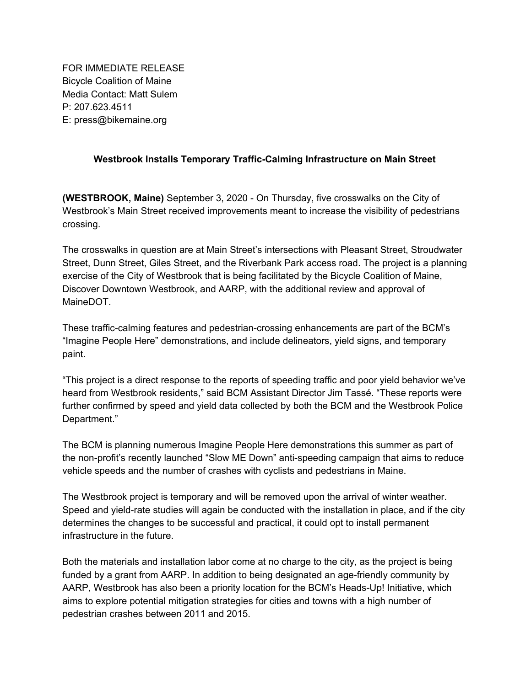FOR IMMEDIATE RELEASE Bicycle Coalition of Maine Media Contact: Matt Sulem P: 207.623.4511 E: press@bikemaine.org

## **Westbrook Installs Temporary Traffic-Calming Infrastructure on Main Street**

**(WESTBROOK, Maine)** September 3, 2020 - On Thursday, five crosswalks on the City of Westbrook's Main Street received improvements meant to increase the visibility of pedestrians crossing.

The crosswalks in question are at Main Street's intersections with Pleasant Street, Stroudwater Street, Dunn Street, Giles Street, and the Riverbank Park access road. The project is a planning exercise of the City of Westbrook that is being facilitated by the Bicycle Coalition of Maine, Discover Downtown Westbrook, and AARP, with the additional review and approval of MaineDOT.

These traffic-calming features and pedestrian-crossing enhancements are part of the BCM's "Imagine People Here" demonstrations, and include delineators, yield signs, and temporary paint.

"This project is a direct response to the reports of speeding traffic and poor yield behavior we've heard from Westbrook residents," said BCM Assistant Director Jim Tassé. "These reports were further confirmed by speed and yield data collected by both the BCM and the Westbrook Police Department."

The BCM is planning numerous Imagine People Here demonstrations this summer as part of the non-profit's recently launched "Slow ME Down" anti-speeding campaign that aims to reduce vehicle speeds and the number of crashes with cyclists and pedestrians in Maine.

The Westbrook project is temporary and will be removed upon the arrival of winter weather. Speed and yield-rate studies will again be conducted with the installation in place, and if the city determines the changes to be successful and practical, it could opt to install permanent infrastructure in the future.

Both the materials and installation labor come at no charge to the city, as the project is being funded by a grant from AARP. In addition to being designated an age-friendly community by AARP, Westbrook has also been a priority location for the BCM's Heads-Up! Initiative, which aims to explore potential mitigation strategies for cities and towns with a high number of pedestrian crashes between 2011 and 2015.